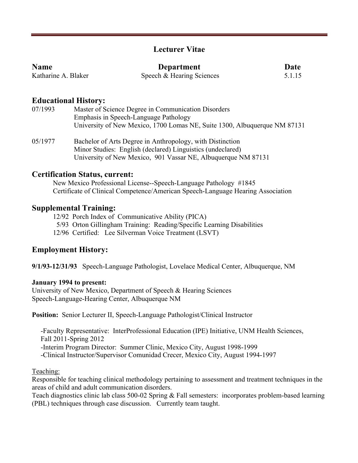# **Lecturer Vitae**

| <b>Name</b>         | Department                | Date   |
|---------------------|---------------------------|--------|
| Katharine A. Blaker | Speech & Hearing Sciences | 5.1.15 |

## **Educational History:**

| Master of Science Degree in Communication Disorders                       |
|---------------------------------------------------------------------------|
| Emphasis in Speech-Language Pathology                                     |
| University of New Mexico, 1700 Lomas NE, Suite 1300, Albuquerque NM 87131 |
|                                                                           |

05/1977 Bachelor of Arts Degree in Anthropology, with Distinction Minor Studies: English (declared) Linguistics (undeclared) University of New Mexico, 901 Vassar NE, Albuquerque NM 87131

#### **Certification Status, current:**

New Mexico Professional License--Speech-Language Pathology #1845 Certificate of Clinical Competence/American Speech-Language Hearing Association

#### **Supplemental Training:**

12/92 Porch Index of Communicative Ability (PICA)

5/93 Orton Gillingham Training: Reading/Specific Learning Disabilities

12/96 Certified: Lee Silverman Voice Treatment (LSVT)

#### **Employment History:**

**9/1/93-12/31/93** Speech-Language Pathologist, Lovelace Medical Center, Albuquerque, NM

#### **January 1994 to present:**

University of New Mexico, Department of Speech & Hearing Sciences Speech-Language-Hearing Center, Albuquerque NM

**Position:** Senior Lecturer II, Speech-Language Pathologist/Clinical Instructor

 -Faculty Representative: InterProfessional Education (IPE) Initiative, UNM Health Sciences, Fall 2011-Spring 2012 -Interim Program Director: Summer Clinic, Mexico City, August 1998-1999 -Clinical Instructor/Supervisor Comunidad Crecer, Mexico City, August 1994-1997

Teaching:

Responsible for teaching clinical methodology pertaining to assessment and treatment techniques in the areas of child and adult communication disorders.

Teach diagnostics clinic lab class 500-02 Spring & Fall semesters: incorporates problem-based learning (PBL) techniques through case discussion. Currently team taught.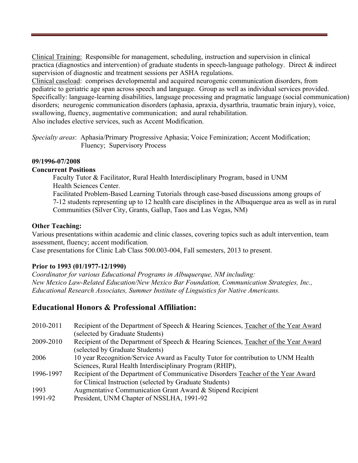Clinical Training: Responsible for management, scheduling, instruction and supervision in clinical practica (diagnostics and intervention) of graduate students in speech-language pathology. Direct & indirect supervision of diagnostic and treatment sessions per ASHA regulations.

Clinical caseload: comprises developmental and acquired neurogenic communication disorders, from pediatric to geriatric age span across speech and language. Group as well as individual services provided. Specifically: language-learning disabilities, language processing and pragmatic language (social communication) disorders; neurogenic communication disorders (aphasia, apraxia, dysarthria, traumatic brain injury), voice, swallowing, fluency, augmentative communication; and aural rehabilitation. Also includes elective services, such as Accent Modification.

*Specialty areas*: Aphasia/Primary Progressive Aphasia; Voice Feminization; Accent Modification;

Fluency; Supervisory Process

#### **09/1996-07/2008**

## **Concurrent Positions**

Faculty Tutor & Facilitator, Rural Health Interdisciplinary Program, based in UNM Health Sciences Center. Facilitated Problem-Based Learning Tutorials through case-based discussions among groups of 7-12 students representing up to 12 health care disciplines in the Albuquerque area as well as in rural Communities (Silver City, Grants, Gallup, Taos and Las Vegas, NM)

## **Other Teaching:**

Various presentations within academic and clinic classes, covering topics such as adult intervention, team assessment, fluency; accent modification.

Case presentations for Clinic Lab Class 500.003-004, Fall semesters, 2013 to present.

## **Prior to 1993 (01/1977-12/1990)**

*Coordinator for various Educational Programs in Albuquerque, NM including: New Mexico Law-Related Education/New Mexico Bar Foundation, Communication Strategies, Inc., Educational Research Associates, Summer Institute of Linguistics for Native Americans.*

# **Educational Honors & Professional Affiliation:**

| 2010-2011       | Recipient of the Department of Speech & Hearing Sciences, Teacher of the Year Award<br>(selected by Graduate Students)                        |
|-----------------|-----------------------------------------------------------------------------------------------------------------------------------------------|
| 2009-2010       | Recipient of the Department of Speech & Hearing Sciences, Teacher of the Year Award<br>(selected by Graduate Students)                        |
| 2006            | 10 year Recognition/Service Award as Faculty Tutor for contribution to UNM Health<br>Sciences, Rural Health Interdisciplinary Program (RHIP), |
| 1996-1997       | Recipient of the Department of Communicative Disorders Teacher of the Year Award<br>for Clinical Instruction (selected by Graduate Students)  |
| 1993<br>1991-92 | Augmentative Communication Grant Award & Stipend Recipient<br>President, UNM Chapter of NSSLHA, 1991-92                                       |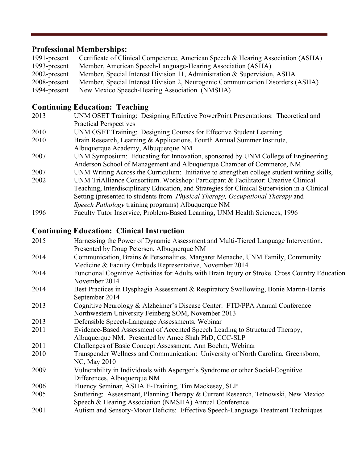# **Professional Memberships:**

| 1991-present | Certificate of Clinical Competence, American Speech & Hearing Association (ASHA) |
|--------------|----------------------------------------------------------------------------------|
| 1993-present | Member, American Speech-Language-Hearing Association (ASHA)                      |
| 2002-present | Member, Special Interest Division 11, Administration & Supervision, ASHA         |
| 2008-present | Member, Special Interest Division 2, Neurogenic Communication Disorders (ASHA)   |
| 1994-present | New Mexico Speech-Hearing Association (NMSHA)                                    |

# **Continuing Education: Teaching**

- 2013 UNM OSET Training: Designing Effective PowerPoint Presentations: Theoretical and Practical Perspectives
- 2010 UNM OSET Training: Designing Courses for Effective Student Learning
- 2010 Brain Research, Learning & Applications, Fourth Annual Summer Institute, Albuquerque Academy, Albuquerque NM
- 2007 UNM Symposium: Educating for Innovation, sponsored by UNM College of Engineering Anderson School of Management and Albuquerque Chamber of Commerce, NM
- 2007 UNM Writing Across the Curriculum: Initiative to strengthen college student writing skills,
- 2002 UNM TriAlliance Consortium. Workshop: Participant & Facilitator: Creative Clinical Teaching, Interdisciplinary Education, and Strategies for Clinical Supervision in a Clinical Setting (presented to students from *Physical Therapy, Occupational Therapy* and *Speech Pathology* training programs) Albuquerque NM
- 1996 Faculty Tutor Inservice, Problem-Based Learning, UNM Health Sciences, 1996

# **Continuing Education: Clinical Instruction**

| 2015 | Harnessing the Power of Dynamic Assessment and Multi-Tiered Language Intervention,              |
|------|-------------------------------------------------------------------------------------------------|
|      | Presented by Doug Petersen, Albuquerque NM                                                      |
| 2014 | Communication, Brains & Personalities. Margaret Menache, UNM Family, Community                  |
|      | Medicine & Faculty Ombuds Representative, November 2014.                                        |
| 2014 | Functional Cognitive Activities for Adults with Brain Injury or Stroke. Cross Country Education |
|      | November 2014                                                                                   |
| 2014 | Best Practices in Dysphagia Assessment & Respiratory Swallowing, Bonie Martin-Harris            |
|      | September 2014                                                                                  |
| 2013 | Cognitive Neurology & Alzheimer's Disease Center: FTD/PPA Annual Conference                     |
|      | Northwestern University Feinberg SOM, November 2013                                             |
| 2013 | Defensible Speech-Language Assessments, Webinar                                                 |
| 2011 | Evidence-Based Assessment of Accented Speech Leading to Structured Therapy,                     |
|      | Albuquerque NM. Presented by Amee Shah PhD, CCC-SLP                                             |
| 2011 | Challenges of Basic Concept Assessment, Ann Boehm, Webinar                                      |
| 2010 | Transgender Wellness and Communication: University of North Carolina, Greensboro,               |
|      | NC, May 2010                                                                                    |
| 2009 | Vulnerability in Individuals with Asperger's Syndrome or other Social-Cognitive                 |
|      | Differences, Albuquerque NM                                                                     |
| 2006 | Fluency Seminar, ASHA E-Training, Tim Mackesey, SLP                                             |
| 2005 | Stuttering: Assessment, Planning Therapy & Current Research, Tetnowski, New Mexico              |
|      | Speech & Hearing Association (NMSHA) Annual Conference                                          |
| 2001 | Autism and Sensory-Motor Deficits: Effective Speech-Language Treatment Techniques               |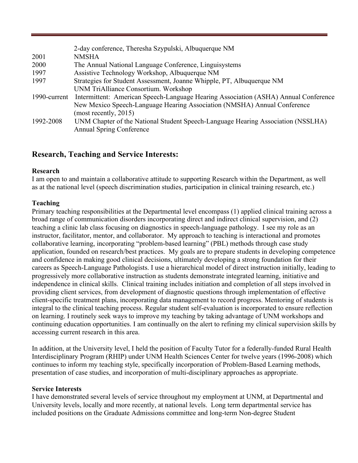|              | 2-day conference, Theresha Szypulski, Albuquerque NM                                |  |  |
|--------------|-------------------------------------------------------------------------------------|--|--|
| 2001         | <b>NMSHA</b>                                                                        |  |  |
| 2000         | The Annual National Language Conference, Linguisystems                              |  |  |
| 1997         | Assistive Technology Workshop, Albuquerque NM                                       |  |  |
| 1997         | Strategies for Student Assessment, Joanne Whipple, PT, Albuquerque NM               |  |  |
|              | UNM TriAlliance Consortium. Workshop                                                |  |  |
| 1990-current | Intermittent: American Speech-Language Hearing Association (ASHA) Annual Conference |  |  |
|              | New Mexico Speech-Language Hearing Association (NMSHA) Annual Conference            |  |  |
|              | (most recently, $2015$ )                                                            |  |  |
| 1992-2008    | UNM Chapter of the National Student Speech-Language Hearing Association (NSSLHA)    |  |  |
|              | <b>Annual Spring Conference</b>                                                     |  |  |

## **Research, Teaching and Service Interests:**

#### **Research**

I am open to and maintain a collaborative attitude to supporting Research within the Department, as well as at the national level (speech discrimination studies, participation in clinical training research, etc.)

#### **Teaching**

Primary teaching responsibilities at the Departmental level encompass (1) applied clinical training across a broad range of communication disorders incorporating direct and indirect clinical supervision, and (2) teaching a clinic lab class focusing on diagnostics in speech-language pathology. I see my role as an instructor, facilitator, mentor, and collaborator. My approach to teaching is interactional and promotes collaborative learning, incorporating "problem-based learning" (PBL) methods through case study application, founded on research/best practices. My goals are to prepare students in developing competence and confidence in making good clinical decisions, ultimately developing a strong foundation for their careers as Speech-Language Pathologists. I use a hierarchical model of direct instruction initially, leading to progressively more collaborative instruction as students demonstrate integrated learning, initiative and independence in clinical skills. Clinical training includes initiation and completion of all steps involved in providing client services, from development of diagnostic questions through implementation of effective client-specific treatment plans, incorporating data management to record progress. Mentoring of students is integral to the clinical teaching process. Regular student self-evaluation is incorporated to ensure reflection on learning. I routinely seek ways to improve my teaching by taking advantage of UNM workshops and continuing education opportunities. I am continually on the alert to refining my clinical supervision skills by accessing current research in this area.

In addition, at the University level, I held the position of Faculty Tutor for a federally-funded Rural Health Interdisciplinary Program (RHIP) under UNM Health Sciences Center for twelve years (1996-2008) which continues to inform my teaching style, specifically incorporation of Problem-Based Learning methods, presentation of case studies, and incorporation of multi-disciplinary approaches as appropriate.

## **Service Interests**

I have demonstrated several levels of service throughout my employment at UNM, at Departmental and University levels, locally and more recently, at national levels. Long term departmental service has included positions on the Graduate Admissions committee and long-term Non-degree Student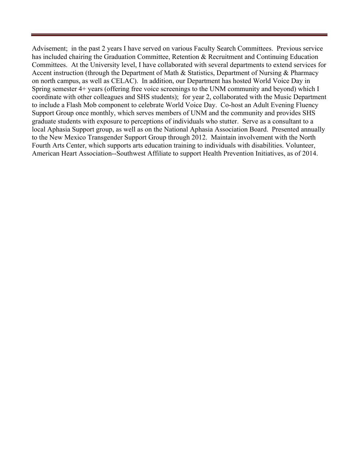Advisement; in the past 2 years I have served on various Faculty Search Committees. Previous service has included chairing the Graduation Committee, Retention & Recruitment and Continuing Education Committees. At the University level, I have collaborated with several departments to extend services for Accent instruction (through the Department of Math & Statistics, Department of Nursing & Pharmacy on north campus, as well as CELAC). In addition, our Department has hosted World Voice Day in Spring semester 4+ years (offering free voice screenings to the UNM community and beyond) which I coordinate with other colleagues and SHS students); for year 2, collaborated with the Music Department to include a Flash Mob component to celebrate World Voice Day. Co-host an Adult Evening Fluency Support Group once monthly, which serves members of UNM and the community and provides SHS graduate students with exposure to perceptions of individuals who stutter. Serve as a consultant to a local Aphasia Support group, as well as on the National Aphasia Association Board. Presented annually to the New Mexico Transgender Support Group through 2012. Maintain involvement with the North Fourth Arts Center, which supports arts education training to individuals with disabilities. Volunteer, American Heart Association--Southwest Affiliate to support Health Prevention Initiatives, as of 2014.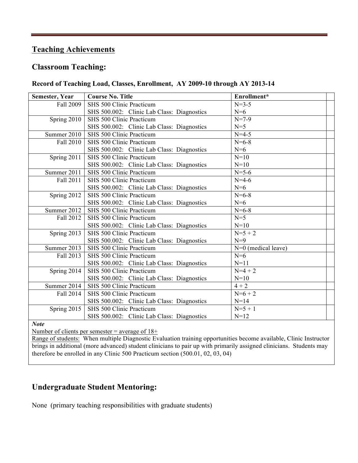# **Teaching Achievements**

# **Classroom Teaching:**

### **Record of Teaching Load, Classes, Enrollment, AY 2009-10 through AY 2013-14**

| Semester, Year | <b>Course No. Title</b>                    | Enrollment*           |
|----------------|--------------------------------------------|-----------------------|
| Fall 2009      | SHS 500 Clinic Practicum                   | $N=3-5$               |
|                | SHS 500.002: Clinic Lab Class: Diagnostics | $N=6$                 |
| Spring 2010    | SHS 500 Clinic Practicum                   | $N=7-9$               |
|                | SHS 500.002: Clinic Lab Class: Diagnostics | $N=5$                 |
| Summer 2010    | SHS 500 Clinic Practicum                   | $N=4-5$               |
| Fall 2010      | SHS 500 Clinic Practicum                   | $N = 6 - 8$           |
|                | SHS 500.002: Clinic Lab Class: Diagnostics | $N=6$                 |
| Spring 2011    | SHS 500 Clinic Practicum                   | $N=10$                |
|                | SHS 500.002: Clinic Lab Class: Diagnostics | $N=10$                |
| Summer 2011    | SHS 500 Clinic Practicum                   | $N = 5 - 6$           |
| Fall 2011      | SHS 500 Clinic Practicum                   | $N=4-6$               |
|                | SHS 500.002: Clinic Lab Class: Diagnostics | $N=6$                 |
| Spring 2012    | SHS 500 Clinic Practicum                   | $N = 6 - 8$           |
|                | SHS 500.002: Clinic Lab Class: Diagnostics | $N=6$                 |
| Summer 2012    | SHS 500 Clinic Practicum                   | $N = 6 - 8$           |
| Fall 2012      | SHS 500 Clinic Practicum                   | $N=5$                 |
|                | SHS 500.002: Clinic Lab Class: Diagnostics | $N=10$                |
| Spring 2013    | SHS 500 Clinic Practicum                   | $N=5+2$               |
|                | SHS 500.002: Clinic Lab Class: Diagnostics | $N=9$                 |
| Summer 2013    | SHS 500 Clinic Practicum                   | $N=0$ (medical leave) |
| Fall 2013      | SHS 500 Clinic Practicum                   | $N=6$                 |
|                | SHS 500.002: Clinic Lab Class: Diagnostics | $N=11$                |
| Spring 2014    | SHS 500 Clinic Practicum                   | $N=4+2$               |
|                | SHS 500.002: Clinic Lab Class: Diagnostics | $N=10$                |
| Summer 2014    | SHS 500 Clinic Practicum                   | $\frac{4+2}{2}$       |
| Fall 2014      | SHS 500 Clinic Practicum                   | $N=6+2$               |
|                | SHS 500.002: Clinic Lab Class: Diagnostics | $N=14$                |
| Spring 2015    | SHS 500 Clinic Practicum                   | $N=5+1$               |
|                | SHS 500.002: Clinic Lab Class: Diagnostics | $N=12$                |
| <b>Note</b>    |                                            |                       |

Number of clients per semester = average of 18+

Range of students: When multiple Diagnostic Evaluation training opportunities become available, Clinic Instructor brings in additional (more advanced) student clinicians to pair up with primarily assigned clinicians. Students may therefore be enrolled in any Clinic 500 Practicum section (500.01, 02, 03, 04)

# **Undergraduate Student Mentoring:**

None (primary teaching responsibilities with graduate students)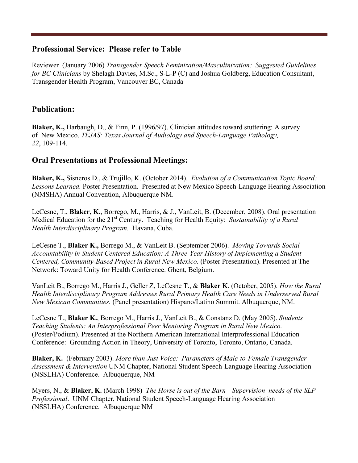# **Professional Service: Please refer to Table**

Reviewer (January 2006) *Transgender Speech Feminization/Masculinization: Suggested Guidelines for BC Clinicians* by Shelagh Davies, M.Sc., S-L-P (C) and Joshua Goldberg, Education Consultant, Transgender Health Program, Vancouver BC, Canada

# **Publication:**

**Blaker, K.,** Harbaugh, D., & Finn, P. (1996/97). Clinician attitudes toward stuttering: A survey of New Mexico. *TEJAS: Texas Journal of Audiology and Speech-Language Pathology, 22*, 109-114.

# **Oral Presentations at Professional Meetings:**

**Blaker, K.,** Sisneros D., & Trujillo, K. (October 2014). *Evolution of a Communication Topic Board: Lessons Learned.* Poster Presentation. Presented at New Mexico Speech-Language Hearing Association (NMSHA) Annual Convention, Albuquerque NM.

LeCesne, T., **Blaker, K.**, Borrego, M., Harris, & J., VanLeit, B. (December, 2008). Oral presentation Medical Education for the 21st Century. Teaching for Health Equity: *Sustainability of a Rural Health Interdisciplinary Program.* Havana, Cuba.

LeCesne T., **Blaker K.,** Borrego M., & VanLeit B. (September 2006). *Moving Towards Social Accountability in Student Centered Education: A Three-Year History of Implementing a Student-Centered, Community-Based Project in Rural New Mexico.* (Poster Presentation). Presented at The Network: Toward Unity for Health Conference. Ghent, Belgium.

VanLeit B., Borrego M., Harris J., Geller Z, LeCesne T., & **Blaker K**. (October, 2005). *How the Rural Health Interdisciplinary Program Addresses Rural Primary Health Care Needs in Underserved Rural New Mexican Communities.* (Panel presentation) Hispano/Latino Summit. Albuquerque, NM.

LeCesne T., **Blaker K.**, Borrego M., Harris J., VanLeit B., & Constanz D. (May 2005). *Students Teaching Students: An Interprofessional Peer Mentoring Program in Rural New Mexico.*  (Poster/Podium). Presented at the Northern American International Interprofessional Education Conference: Grounding Action in Theory, University of Toronto, Toronto, Ontario, Canada.

**Blaker, K.** (February 2003). *More than Just Voice: Parameters of Male-to-Female Transgender Assessment & Intervention* UNM Chapter, National Student Speech-Language Hearing Association (NSSLHA) Conference. Albuquerque, NM

Myers, N., & **Blaker, K.** (March 1998) *The Horse is out of the Barn—Supervision needs of the SLP Professional*. UNM Chapter, National Student Speech-Language Hearing Association (NSSLHA) Conference. Albuquerque NM